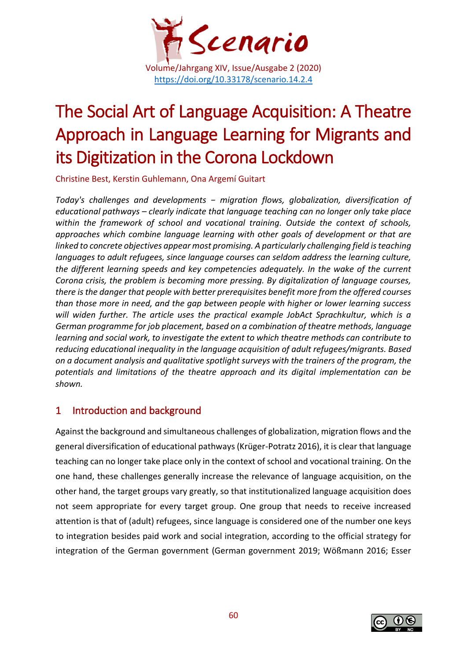

# The Social Art of Language Acquisition: A Theatre Approach in Language Learning for Migrants and its Digitization in the Corona Lockdown

Christine Best, Kerstin Guhlemann, Ona Argemí Guitart

*Today's challenges and developments − migration flows, globalization, diversification of educational pathways – clearly indicate that language teaching can no longer only take place within the framework of school and vocational training. Outside the context of schools, approaches which combine language learning with other goals of development or that are*  linked to concrete objectives appear most promising. A particularly challenging field is teaching *languages to adult refugees, since language courses can seldom address the learning culture, the different learning speeds and key competencies adequately. In the wake of the current Corona crisis, the problem is becoming more pressing. By digitalization of language courses, there is the danger that people with better prerequisites benefit more from the offered courses than those more in need, and the gap between people with higher or lower learning success will widen further. The article uses the practical example JobAct Sprachkultur, which is a German programme for job placement, based on a combination of theatre methods, language learning and social work, to investigate the extent to which theatre methods can contribute to reducing educational inequality in the language acquisition of adult refugees/migrants. Based on a document analysis and qualitative spotlight surveys with the trainers of the program, the potentials and limitations of the theatre approach and its digital implementation can be shown.*

### 1 Introduction and background

Against the background and simultaneous challenges of globalization, migration flows and the general diversification of educational pathways (Krüger-Potratz 2016), it is clear that language teaching can no longer take place only in the context of school and vocational training. On the one hand, these challenges generally increase the relevance of language acquisition, on the other hand, the target groups vary greatly, so that institutionalized language acquisition does not seem appropriate for every target group. One group that needs to receive increased attention is that of (adult) refugees, since language is considered one of the number one keys to integration besides paid work and social integration, according to the official strategy for integration of the German government (German government 2019; Wößmann 2016; Esser

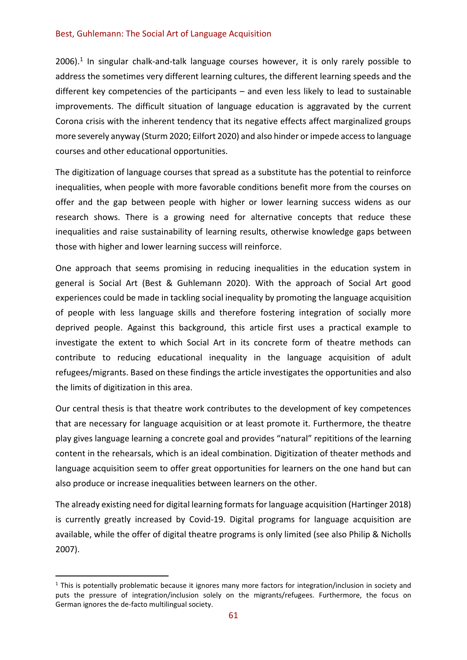2006).<sup>1</sup> In singular chalk-and-talk language courses however, it is only rarely possible to address the sometimes very different learning cultures, the different learning speeds and the different key competencies of the participants – and even less likely to lead to sustainable improvements. The difficult situation of language education is aggravated by the current Corona crisis with the inherent tendency that its negative effects affect marginalized groups more severely anyway (Sturm 2020; Eilfort 2020) and also hinder or impede access to language courses and other educational opportunities.

The digitization of language courses that spread as a substitute has the potential to reinforce inequalities, when people with more favorable conditions benefit more from the courses on offer and the gap between people with higher or lower learning success widens as our research shows. There is a growing need for alternative concepts that reduce these inequalities and raise sustainability of learning results, otherwise knowledge gaps between those with higher and lower learning success will reinforce.

One approach that seems promising in reducing inequalities in the education system in general is Social Art (Best & Guhlemann 2020). With the approach of Social Art good experiences could be made in tackling social inequality by promoting the language acquisition of people with less language skills and therefore fostering integration of socially more deprived people. Against this background, this article first uses a practical example to investigate the extent to which Social Art in its concrete form of theatre methods can contribute to reducing educational inequality in the language acquisition of adult refugees/migrants. Based on these findings the article investigates the opportunities and also the limits of digitization in this area.

Our central thesis is that theatre work contributes to the development of key competences that are necessary for language acquisition or at least promote it. Furthermore, the theatre play gives language learning a concrete goal and provides "natural" repititions of the learning content in the rehearsals, which is an ideal combination. Digitization of theater methods and language acquisition seem to offer great opportunities for learners on the one hand but can also produce or increase inequalities between learners on the other.

The already existing need for digital learning formats for language acquisition (Hartinger 2018) is currently greatly increased by Covid-19. Digital programs for language acquisition are available, while the offer of digital theatre programs is only limited (see also Philip & Nicholls 2007).

 $1$  This is potentially problematic because it ignores many more factors for integration/inclusion in society and puts the pressure of integration/inclusion solely on the migrants/refugees. Furthermore, the focus on German ignores the de-facto multilingual society.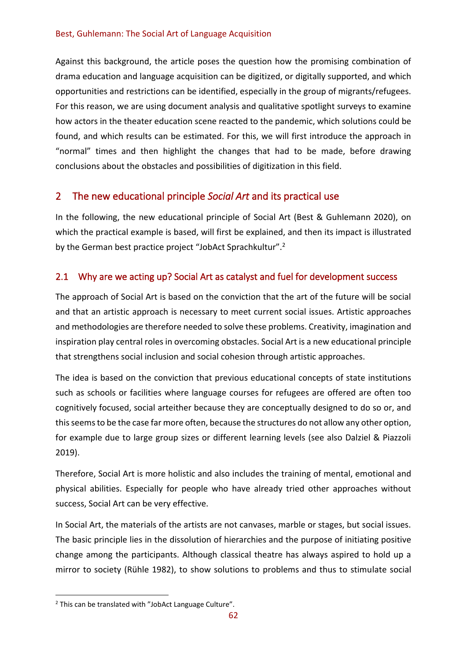Against this background, the article poses the question how the promising combination of drama education and language acquisition can be digitized, or digitally supported, and which opportunities and restrictions can be identified, especially in the group of migrants/refugees. For this reason, we are using document analysis and qualitative spotlight surveys to examine how actors in the theater education scene reacted to the pandemic, which solutions could be found, and which results can be estimated. For this, we will first introduce the approach in "normal" times and then highlight the changes that had to be made, before drawing conclusions about the obstacles and possibilities of digitization in this field.

### 2 The new educational principle *Social Art* and its practical use

In the following, the new educational principle of Social Art (Best & Guhlemann 2020), on which the practical example is based, will first be explained, and then its impact is illustrated by the German best practice project "JobAct Sprachkultur".<sup>2</sup>

### 2.1 Why are we acting up? Social Art as catalyst and fuel for development success

The approach of Social Art is based on the conviction that the art of the future will be social and that an artistic approach is necessary to meet current social issues. Artistic approaches and methodologies are therefore needed to solve these problems. Creativity, imagination and inspiration play central roles in overcoming obstacles. Social Art is a new educational principle that strengthens social inclusion and social cohesion through artistic approaches.

The idea is based on the conviction that previous educational concepts of state institutions such as schools or facilities where language courses for refugees are offered are often too cognitively focused, social arteither because they are conceptually designed to do so or, and this seems to be the case far more often, because the structures do not allow any other option, for example due to large group sizes or different learning levels (see also Dalziel & Piazzoli 2019).

Therefore, Social Art is more holistic and also includes the training of mental, emotional and physical abilities. Especially for people who have already tried other approaches without success, Social Art can be very effective.

In Social Art, the materials of the artists are not canvases, marble or stages, but social issues. The basic principle lies in the dissolution of hierarchies and the purpose of initiating positive change among the participants. Although classical theatre has always aspired to hold up a mirror to society (Rühle 1982), to show solutions to problems and thus to stimulate social

<sup>&</sup>lt;sup>2</sup> This can be translated with "JobAct Language Culture".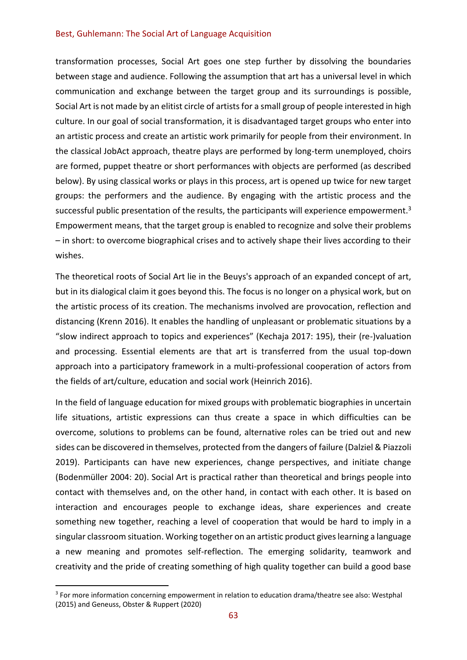transformation processes, Social Art goes one step further by dissolving the boundaries between stage and audience. Following the assumption that art has a universal level in which communication and exchange between the target group and its surroundings is possible, Social Art is not made by an elitist circle of artists for a small group of people interested in high culture. In our goal of social transformation, it is disadvantaged target groups who enter into an artistic process and create an artistic work primarily for people from their environment. In the classical JobAct approach, theatre plays are performed by long-term unemployed, choirs are formed, puppet theatre or short performances with objects are performed (as described below). By using classical works or plays in this process, art is opened up twice for new target groups: the performers and the audience. By engaging with the artistic process and the successful public presentation of the results, the participants will experience empowerment.<sup>3</sup> Empowerment means, that the target group is enabled to recognize and solve their problems – in short: to overcome biographical crises and to actively shape their lives according to their wishes.

The theoretical roots of Social Art lie in the Beuys's approach of an expanded concept of art, but in its dialogical claim it goes beyond this. The focus is no longer on a physical work, but on the artistic process of its creation. The mechanisms involved are provocation, reflection and distancing (Krenn 2016). It enables the handling of unpleasant or problematic situations by a "slow indirect approach to topics and experiences" (Kechaja 2017: 195), their (re-)valuation and processing. Essential elements are that art is transferred from the usual top-down approach into a participatory framework in a multi-professional cooperation of actors from the fields of art/culture, education and social work (Heinrich 2016).

In the field of language education for mixed groups with problematic biographies in uncertain life situations, artistic expressions can thus create a space in which difficulties can be overcome, solutions to problems can be found, alternative roles can be tried out and new sides can be discovered in themselves, protected from the dangers of failure (Dalziel & Piazzoli 2019). Participants can have new experiences, change perspectives, and initiate change (Bodenmüller 2004: 20). Social Art is practical rather than theoretical and brings people into contact with themselves and, on the other hand, in contact with each other. It is based on interaction and encourages people to exchange ideas, share experiences and create something new together, reaching a level of cooperation that would be hard to imply in a singular classroom situation. Working together on an artistic product gives learning a language a new meaning and promotes self-reflection. The emerging solidarity, teamwork and creativity and the pride of creating something of high quality together can build a good base

<sup>&</sup>lt;sup>3</sup> For more information concerning empowerment in relation to education drama/theatre see also: Westphal (2015) and Geneuss, Obster & Ruppert (2020)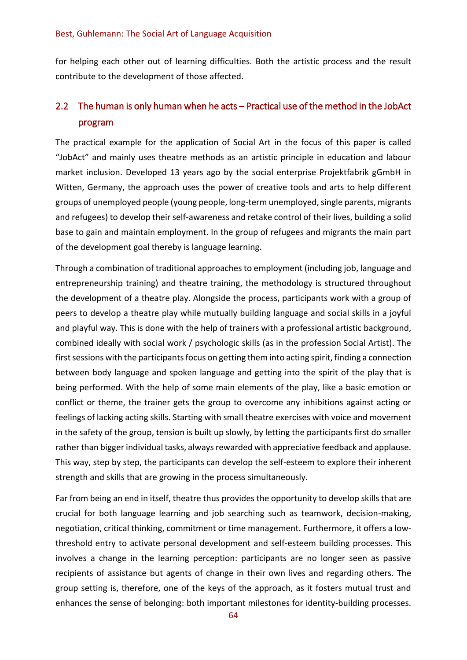for helping each other out of learning difficulties. Both the artistic process and the result contribute to the development of those affected.

### 2.2 The human is only human when he acts – Practical use of the method in the JobAct program

The practical example for the application of Social Art in the focus of this paper is called "JobAct" and mainly uses theatre methods as an artistic principle in education and labour market inclusion. Developed 13 years ago by the social enterprise Projektfabrik gGmbH in Witten, Germany, the approach uses the power of creative tools and arts to help different groups of unemployed people (young people, long-term unemployed, single parents, migrants and refugees) to develop their self-awareness and retake control of their lives, building a solid base to gain and maintain employment. In the group of refugees and migrants the main part of the development goal thereby is language learning.

Through a combination of traditional approaches to employment (including job, language and entrepreneurship training) and theatre training, the methodology is structured throughout the development of a theatre play. Alongside the process, participants work with a group of peers to develop a theatre play while mutually building language and social skills in a joyful and playful way. This is done with the help of trainers with a professional artistic background, combined ideally with social work / psychologic skills (as in the profession Social Artist). The first sessions with the participants focus on getting them into acting spirit, finding a connection between body language and spoken language and getting into the spirit of the play that is being performed. With the help of some main elements of the play, like a basic emotion or conflict or theme, the trainer gets the group to overcome any inhibitions against acting or feelings of lacking acting skills. Starting with small theatre exercises with voice and movement in the safety of the group, tension is built up slowly, by letting the participants first do smaller rather than bigger individual tasks, always rewarded with appreciative feedback and applause. This way, step by step, the participants can develop the self-esteem to explore their inherent strength and skills that are growing in the process simultaneously.

Far from being an end in itself, theatre thus provides the opportunity to develop skills that are crucial for both language learning and job searching such as teamwork, decision-making, negotiation, critical thinking, commitment or time management. Furthermore, it offers a lowthreshold entry to activate personal development and self-esteem building processes. This involves a change in the learning perception: participants are no longer seen as passive recipients of assistance but agents of change in their own lives and regarding others. The group setting is, therefore, one of the keys of the approach, as it fosters mutual trust and enhances the sense of belonging: both important milestones for identity-building processes.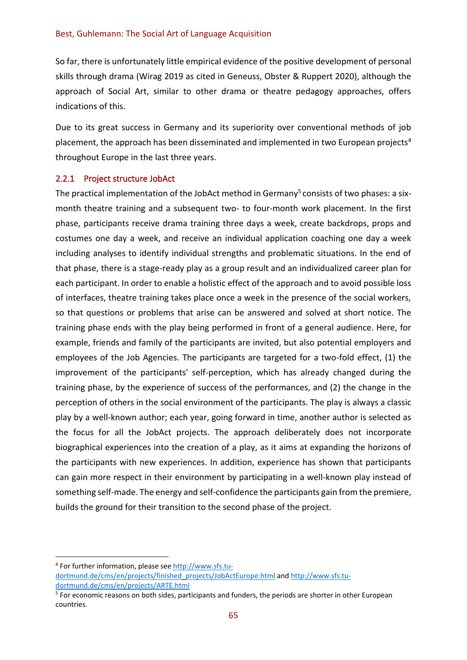So far, there is unfortunately little empirical evidence of the positive development of personal skills through drama (Wirag 2019 as cited in Geneuss, Obster & Ruppert 2020), although the approach of Social Art, similar to other drama or theatre pedagogy approaches, offers indications of this.

Due to its great success in Germany and its superiority over conventional methods of job placement, the approach has been disseminated and implemented in two European projects<sup>4</sup> throughout Europe in the last three years.

#### 2.2.1 Project structure JobAct

The practical implementation of the JobAct method in Germany<sup>5</sup> consists of two phases: a sixmonth theatre training and a subsequent two- to four-month work placement. In the first phase, participants receive drama training three days a week, create backdrops, props and costumes one day a week, and receive an individual application coaching one day a week including analyses to identify individual strengths and problematic situations. In the end of that phase, there is a stage-ready play as a group result and an individualized career plan for each participant. In order to enable a holistic effect of the approach and to avoid possible loss of interfaces, theatre training takes place once a week in the presence of the social workers, so that questions or problems that arise can be answered and solved at short notice. The training phase ends with the play being performed in front of a general audience. Here, for example, friends and family of the participants are invited, but also potential employers and employees of the Job Agencies. The participants are targeted for a two-fold effect, (1) the improvement of the participants' self-perception, which has already changed during the training phase, by the experience of success of the performances, and (2) the change in the perception of others in the social environment of the participants. The play is always a classic play by a well-known author; each year, going forward in time, another author is selected as the focus for all the JobAct projects. The approach deliberately does not incorporate biographical experiences into the creation of a play, as it aims at expanding the horizons of the participants with new experiences. In addition, experience has shown that participants can gain more respect in their environment by participating in a well-known play instead of something self-made. The energy and self-confidence the participants gain from the premiere, builds the ground for their transition to the second phase of the project.

<sup>&</sup>lt;sup>4</sup> For further information, please see [http://www.sfs.tu](http://www.sfs.tu-dortmund.de/cms/en/projects/finished_projects/JobActEurope.html)[dortmund.de/cms/en/projects/finished\\_projects/JobActEurope.html](http://www.sfs.tu-dortmund.de/cms/en/projects/finished_projects/JobActEurope.html) and [http://www.sfs.tu](http://www.sfs.tu-dortmund.de/cms/en/projects/ARTE.html)[dortmund.de/cms/en/projects/ARTE.html](http://www.sfs.tu-dortmund.de/cms/en/projects/ARTE.html)

<sup>&</sup>lt;sup>5</sup> For economic reasons on both sides, participants and funders, the periods are shorter in other European countries.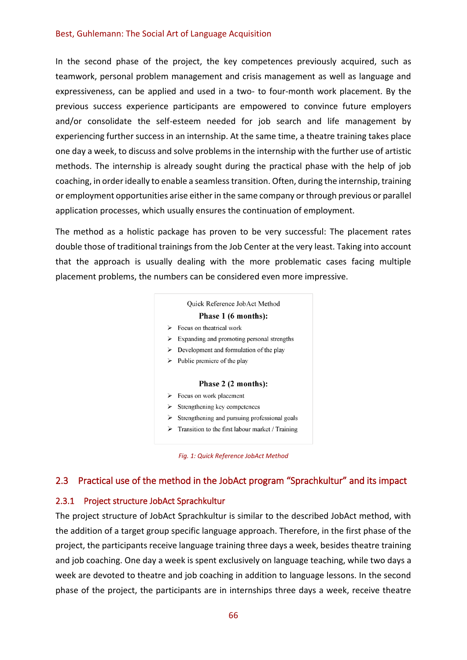In the second phase of the project, the key competences previously acquired, such as teamwork, personal problem management and crisis management as well as language and expressiveness, can be applied and used in a two- to four-month work placement. By the previous success experience participants are empowered to convince future employers and/or consolidate the self-esteem needed for job search and life management by experiencing further success in an internship. At the same time, a theatre training takes place one day a week, to discuss and solve problems in the internship with the further use of artistic methods. The internship is already sought during the practical phase with the help of job coaching, in order ideally to enable a seamless transition. Often, during the internship, training or employment opportunities arise either in the same company or through previous or parallel application processes, which usually ensures the continuation of employment.

The method as a holistic package has proven to be very successful: The placement rates double those of traditional trainings from the Job Center at the very least. Taking into account that the approach is usually dealing with the more problematic cases facing multiple placement problems, the numbers can be considered even more impressive.

# Quick Reference JobAct Method Phase 1 (6 months):

- $\triangleright$  Focus on theatrical work
- $\triangleright$  Expanding and promoting personal strengths
- $\triangleright$  Development and formulation of the play
- $\triangleright$  Public premiere of the play

#### Phase 2 (2 months):

- $\triangleright$  Focus on work placement
- $\triangleright$  Strengthening key competences
- $\triangleright$  Strengthening and pursuing professional goals
- $\triangleright$  Transition to the first labour market / Training

#### 2.3 Practical use of the method in the JobAct program "Sprachkultur" and its impact

#### 2.3.1 Project structure JobAct Sprachkultur

The project structure of JobAct Sprachkultur is similar to the described JobAct method, with the addition of a target group specific language approach. Therefore, in the first phase of the project, the participants receive language training three days a week, besides theatre training and job coaching. One day a week is spent exclusively on language teaching, while two days a week are devoted to theatre and job coaching in addition to language lessons. In the second phase of the project, the participants are in internships three days a week, receive theatre

*Fig. 1: Quick Reference JobAct Method*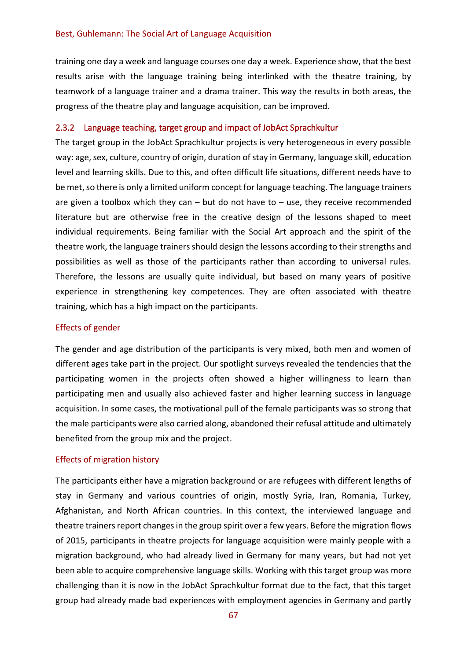training one day a week and language courses one day a week. Experience show, that the best results arise with the language training being interlinked with the theatre training, by teamwork of a language trainer and a drama trainer. This way the results in both areas, the progress of the theatre play and language acquisition, can be improved.

#### 2.3.2 Language teaching, target group and impact of JobAct Sprachkultur

The target group in the JobAct Sprachkultur projects is very heterogeneous in every possible way: age, sex, culture, country of origin, duration of stay in Germany, language skill, education level and learning skills. Due to this, and often difficult life situations, different needs have to be met, so there is only a limited uniform concept for language teaching. The language trainers are given a toolbox which they can  $-$  but do not have to  $-$  use, they receive recommended literature but are otherwise free in the creative design of the lessons shaped to meet individual requirements. Being familiar with the Social Art approach and the spirit of the theatre work, the language trainers should design the lessons according to their strengths and possibilities as well as those of the participants rather than according to universal rules. Therefore, the lessons are usually quite individual, but based on many years of positive experience in strengthening key competences. They are often associated with theatre training, which has a high impact on the participants.

#### Effects of gender

The gender and age distribution of the participants is very mixed, both men and women of different ages take part in the project. Our spotlight surveys revealed the tendencies that the participating women in the projects often showed a higher willingness to learn than participating men and usually also achieved faster and higher learning success in language acquisition. In some cases, the motivational pull of the female participants was so strong that the male participants were also carried along, abandoned their refusal attitude and ultimately benefited from the group mix and the project.

#### Effects of migration history

The participants either have a migration background or are refugees with different lengths of stay in Germany and various countries of origin, mostly Syria, Iran, Romania, Turkey, Afghanistan, and North African countries. In this context, the interviewed language and theatre trainers report changes in the group spirit over a few years. Before the migration flows of 2015, participants in theatre projects for language acquisition were mainly people with a migration background, who had already lived in Germany for many years, but had not yet been able to acquire comprehensive language skills. Working with this target group was more challenging than it is now in the JobAct Sprachkultur format due to the fact, that this target group had already made bad experiences with employment agencies in Germany and partly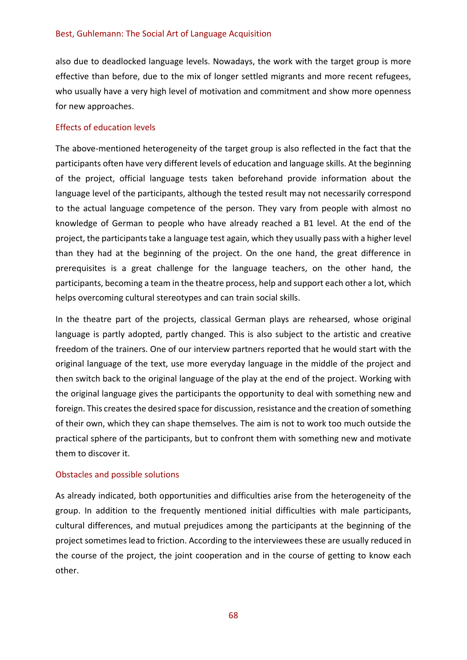also due to deadlocked language levels. Nowadays, the work with the target group is more effective than before, due to the mix of longer settled migrants and more recent refugees, who usually have a very high level of motivation and commitment and show more openness for new approaches.

#### Effects of education levels

The above-mentioned heterogeneity of the target group is also reflected in the fact that the participants often have very different levels of education and language skills. At the beginning of the project, official language tests taken beforehand provide information about the language level of the participants, although the tested result may not necessarily correspond to the actual language competence of the person. They vary from people with almost no knowledge of German to people who have already reached a B1 level. At the end of the project, the participants take a language test again, which they usually pass with a higher level than they had at the beginning of the project. On the one hand, the great difference in prerequisites is a great challenge for the language teachers, on the other hand, the participants, becoming a team in the theatre process, help and support each other a lot, which helps overcoming cultural stereotypes and can train social skills.

In the theatre part of the projects, classical German plays are rehearsed, whose original language is partly adopted, partly changed. This is also subject to the artistic and creative freedom of the trainers. One of our interview partners reported that he would start with the original language of the text, use more everyday language in the middle of the project and then switch back to the original language of the play at the end of the project. Working with the original language gives the participants the opportunity to deal with something new and foreign. This creates the desired space for discussion, resistance and the creation of something of their own, which they can shape themselves. The aim is not to work too much outside the practical sphere of the participants, but to confront them with something new and motivate them to discover it.

#### Obstacles and possible solutions

As already indicated, both opportunities and difficulties arise from the heterogeneity of the group. In addition to the frequently mentioned initial difficulties with male participants, cultural differences, and mutual prejudices among the participants at the beginning of the project sometimes lead to friction. According to the interviewees these are usually reduced in the course of the project, the joint cooperation and in the course of getting to know each other.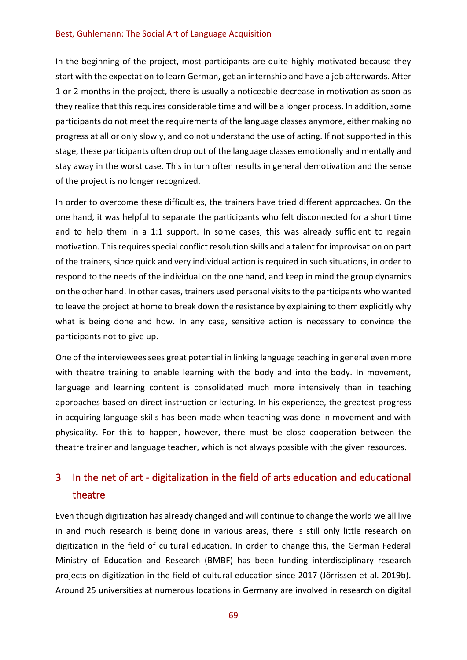In the beginning of the project, most participants are quite highly motivated because they start with the expectation to learn German, get an internship and have a job afterwards. After 1 or 2 months in the project, there is usually a noticeable decrease in motivation as soon as they realize that this requires considerable time and will be a longer process. In addition, some participants do not meet the requirements of the language classes anymore, either making no progress at all or only slowly, and do not understand the use of acting. If not supported in this stage, these participants often drop out of the language classes emotionally and mentally and stay away in the worst case. This in turn often results in general demotivation and the sense of the project is no longer recognized.

In order to overcome these difficulties, the trainers have tried different approaches. On the one hand, it was helpful to separate the participants who felt disconnected for a short time and to help them in a 1:1 support. In some cases, this was already sufficient to regain motivation. This requires special conflict resolution skills and a talent for improvisation on part of the trainers, since quick and very individual action is required in such situations, in order to respond to the needs of the individual on the one hand, and keep in mind the group dynamics on the other hand. In other cases, trainers used personal visits to the participants who wanted to leave the project at home to break down the resistance by explaining to them explicitly why what is being done and how. In any case, sensitive action is necessary to convince the participants not to give up.

One of the interviewees sees great potential in linking language teaching in general even more with theatre training to enable learning with the body and into the body. In movement, language and learning content is consolidated much more intensively than in teaching approaches based on direct instruction or lecturing. In his experience, the greatest progress in acquiring language skills has been made when teaching was done in movement and with physicality. For this to happen, however, there must be close cooperation between the theatre trainer and language teacher, which is not always possible with the given resources.

# 3 In the net of art - digitalization in the field of arts education and educational theatre

Even though digitization has already changed and will continue to change the world we all live in and much research is being done in various areas, there is still only little research on digitization in the field of cultural education. In order to change this, the German Federal Ministry of Education and Research (BMBF) has been funding interdisciplinary research projects on digitization in the field of cultural education since 2017 (Jörrissen et al. 2019b). Around 25 universities at numerous locations in Germany are involved in research on digital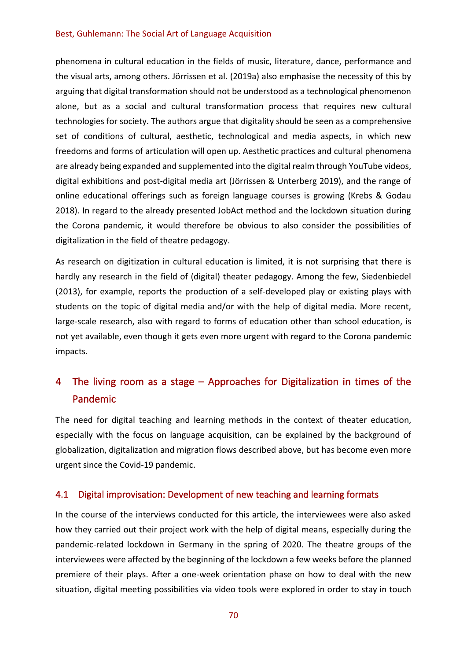phenomena in cultural education in the fields of music, literature, dance, performance and the visual arts, among others. Jörrissen et al. (2019a) also emphasise the necessity of this by arguing that digital transformation should not be understood as a technological phenomenon alone, but as a social and cultural transformation process that requires new cultural technologies for society. The authors argue that digitality should be seen as a comprehensive set of conditions of cultural, aesthetic, technological and media aspects, in which new freedoms and forms of articulation will open up. Aesthetic practices and cultural phenomena are already being expanded and supplemented into the digital realm through YouTube videos, digital exhibitions and post-digital media art (Jörrissen & Unterberg 2019), and the range of online educational offerings such as foreign language courses is growing (Krebs & Godau 2018). In regard to the already presented JobAct method and the lockdown situation during the Corona pandemic, it would therefore be obvious to also consider the possibilities of digitalization in the field of theatre pedagogy.

As research on digitization in cultural education is limited, it is not surprising that there is hardly any research in the field of (digital) theater pedagogy. Among the few, Siedenbiedel (2013), for example, reports the production of a self-developed play or existing plays with students on the topic of digital media and/or with the help of digital media. More recent, large-scale research, also with regard to forms of education other than school education, is not yet available, even though it gets even more urgent with regard to the Corona pandemic impacts.

## 4 The living room as a stage – Approaches for Digitalization in times of the Pandemic

The need for digital teaching and learning methods in the context of theater education, especially with the focus on language acquisition, can be explained by the background of globalization, digitalization and migration flows described above, but has become even more urgent since the Covid-19 pandemic.

### 4.1 Digital improvisation: Development of new teaching and learning formats

In the course of the interviews conducted for this article, the interviewees were also asked how they carried out their project work with the help of digital means, especially during the pandemic-related lockdown in Germany in the spring of 2020. The theatre groups of the interviewees were affected by the beginning of the lockdown a few weeks before the planned premiere of their plays. After a one-week orientation phase on how to deal with the new situation, digital meeting possibilities via video tools were explored in order to stay in touch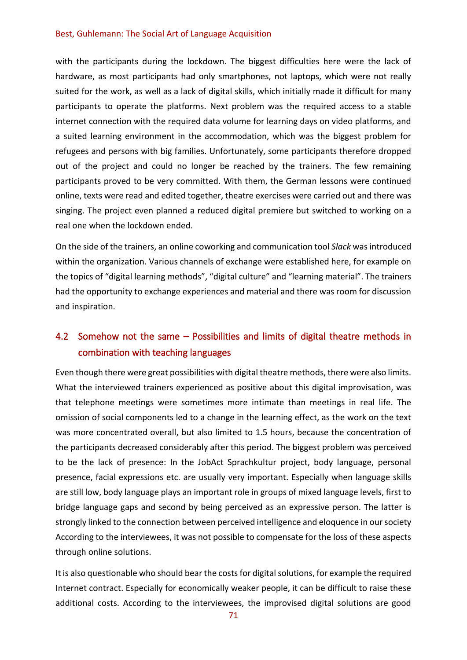with the participants during the lockdown. The biggest difficulties here were the lack of hardware, as most participants had only smartphones, not laptops, which were not really suited for the work, as well as a lack of digital skills, which initially made it difficult for many participants to operate the platforms. Next problem was the required access to a stable internet connection with the required data volume for learning days on video platforms, and a suited learning environment in the accommodation, which was the biggest problem for refugees and persons with big families. Unfortunately, some participants therefore dropped out of the project and could no longer be reached by the trainers. The few remaining participants proved to be very committed. With them, the German lessons were continued online, texts were read and edited together, theatre exercises were carried out and there was singing. The project even planned a reduced digital premiere but switched to working on a real one when the lockdown ended.

On the side of the trainers, an online coworking and communication tool *Slack* was introduced within the organization. Various channels of exchange were established here, for example on the topics of "digital learning methods", "digital culture" and "learning material". The trainers had the opportunity to exchange experiences and material and there was room for discussion and inspiration.

### 4.2 Somehow not the same – Possibilities and limits of digital theatre methods in combination with teaching languages

Even though there were great possibilities with digital theatre methods, there were also limits. What the interviewed trainers experienced as positive about this digital improvisation, was that telephone meetings were sometimes more intimate than meetings in real life. The omission of social components led to a change in the learning effect, as the work on the text was more concentrated overall, but also limited to 1.5 hours, because the concentration of the participants decreased considerably after this period. The biggest problem was perceived to be the lack of presence: In the JobAct Sprachkultur project, body language, personal presence, facial expressions etc. are usually very important. Especially when language skills are still low, body language plays an important role in groups of mixed language levels, first to bridge language gaps and second by being perceived as an expressive person. The latter is strongly linked to the connection between perceived intelligence and eloquence in our society According to the interviewees, it was not possible to compensate for the loss of these aspects through online solutions.

It is also questionable who should bear the costs for digital solutions, for example the required Internet contract. Especially for economically weaker people, it can be difficult to raise these additional costs. According to the interviewees, the improvised digital solutions are good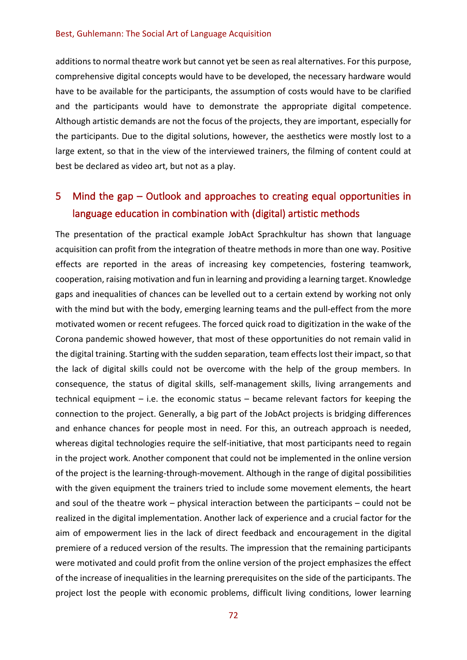additions to normal theatre work but cannot yet be seen as real alternatives. For this purpose, comprehensive digital concepts would have to be developed, the necessary hardware would have to be available for the participants, the assumption of costs would have to be clarified and the participants would have to demonstrate the appropriate digital competence. Although artistic demands are not the focus of the projects, they are important, especially for the participants. Due to the digital solutions, however, the aesthetics were mostly lost to a large extent, so that in the view of the interviewed trainers, the filming of content could at best be declared as video art, but not as a play.

## 5 Mind the gap – Outlook and approaches to creating equal opportunities in language education in combination with (digital) artistic methods

The presentation of the practical example JobAct Sprachkultur has shown that language acquisition can profit from the integration of theatre methods in more than one way. Positive effects are reported in the areas of increasing key competencies, fostering teamwork, cooperation, raising motivation and fun in learning and providing a learning target. Knowledge gaps and inequalities of chances can be levelled out to a certain extend by working not only with the mind but with the body, emerging learning teams and the pull-effect from the more motivated women or recent refugees. The forced quick road to digitization in the wake of the Corona pandemic showed however, that most of these opportunities do not remain valid in the digital training. Starting with the sudden separation, team effects lost their impact, so that the lack of digital skills could not be overcome with the help of the group members. In consequence, the status of digital skills, self-management skills, living arrangements and technical equipment – i.e. the economic status – became relevant factors for keeping the connection to the project. Generally, a big part of the JobAct projects is bridging differences and enhance chances for people most in need. For this, an outreach approach is needed, whereas digital technologies require the self-initiative, that most participants need to regain in the project work. Another component that could not be implemented in the online version of the project is the learning-through-movement. Although in the range of digital possibilities with the given equipment the trainers tried to include some movement elements, the heart and soul of the theatre work – physical interaction between the participants – could not be realized in the digital implementation. Another lack of experience and a crucial factor for the aim of empowerment lies in the lack of direct feedback and encouragement in the digital premiere of a reduced version of the results. The impression that the remaining participants were motivated and could profit from the online version of the project emphasizes the effect of the increase of inequalities in the learning prerequisites on the side of the participants. The project lost the people with economic problems, difficult living conditions, lower learning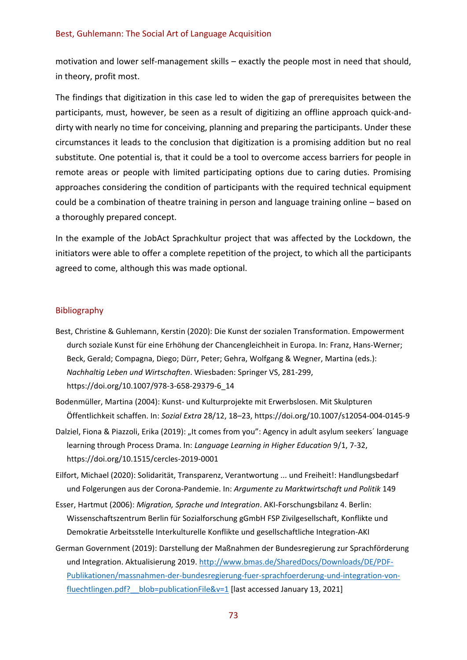motivation and lower self-management skills – exactly the people most in need that should, in theory, profit most.

The findings that digitization in this case led to widen the gap of prerequisites between the participants, must, however, be seen as a result of digitizing an offline approach quick-anddirty with nearly no time for conceiving, planning and preparing the participants. Under these circumstances it leads to the conclusion that digitization is a promising addition but no real substitute. One potential is, that it could be a tool to overcome access barriers for people in remote areas or people with limited participating options due to caring duties. Promising approaches considering the condition of participants with the required technical equipment could be a combination of theatre training in person and language training online – based on a thoroughly prepared concept.

In the example of the JobAct Sprachkultur project that was affected by the Lockdown, the initiators were able to offer a complete repetition of the project, to which all the participants agreed to come, although this was made optional.

#### Bibliography

- Best, Christine & Guhlemann, Kerstin (2020): Die Kunst der sozialen Transformation. Empowerment durch soziale Kunst für eine Erhöhung der Chancengleichheit in Europa. In: Franz, Hans-Werner; Beck, Gerald; Compagna, Diego; Dürr, Peter; Gehra, Wolfgang & Wegner, Martina (eds.): *Nachhaltig Leben und Wirtschaften*. Wiesbaden: Springer VS, 281-299, https://doi.org/10.1007/978-3-658-29379-6\_14
- Bodenmüller, Martina (2004): Kunst- und Kulturprojekte mit Erwerbslosen. Mit Skulpturen Öffentlichkeit schaffen. In: *Sozial Extra* 28/12, 18–23, https://doi.org/10.1007/s12054-004-0145-9
- Dalziel, Fiona & Piazzoli, Erika (2019): "It comes from you": Agency in adult asylum seekers' language learning through Process Drama. In: *Language Learning in Higher Education* 9/1, 7-32, https://doi.org/10.1515/cercles-2019-0001

Eilfort, Michael (2020): Solidarität, Transparenz, Verantwortung ... und Freiheit!: Handlungsbedarf und Folgerungen aus der Corona-Pandemie. In: *Argumente zu Marktwirtschaft und Politik* 149

- Esser, Hartmut (2006): *Migration, Sprache und Integration*. AKI-Forschungsbilanz 4. Berlin: Wissenschaftszentrum Berlin für Sozialforschung gGmbH FSP Zivilgesellschaft, Konflikte und Demokratie Arbeitsstelle Interkulturelle Konflikte und gesellschaftliche Integration-AKI
- German Government (2019): Darstellung der Maßnahmen der Bundesregierung zur Sprachförderung und Integration. Aktualisierung 2019. [http://www.bmas.de/SharedDocs/Downloads/DE/PDF-](http://www.bmas.de/SharedDocs/Downloads/DE/PDF-Publikationen/massnahmen-der-bundesregierung-fuer-sprachfoerderung-und-integration-von-fluechtlingen.pdf?__blob=publicationFile&v=1)[Publikationen/massnahmen-der-bundesregierung-fuer-sprachfoerderung-und-integration-von](http://www.bmas.de/SharedDocs/Downloads/DE/PDF-Publikationen/massnahmen-der-bundesregierung-fuer-sprachfoerderung-und-integration-von-fluechtlingen.pdf?__blob=publicationFile&v=1)fluechtlingen.pdf? blob=publicationFile&v=1 [last accessed January 13, 2021]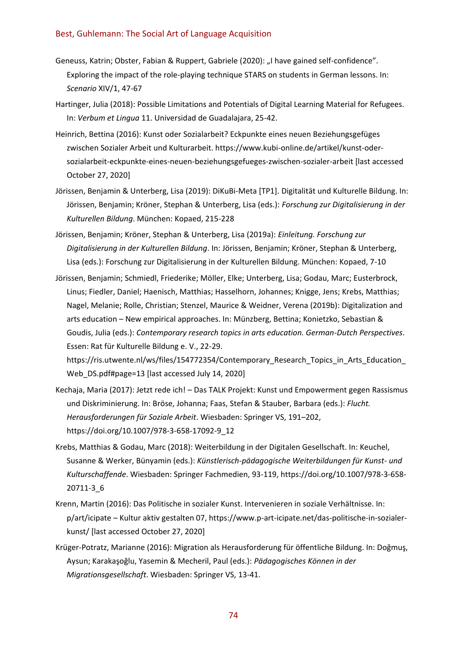- Geneuss, Katrin; Obster, Fabian & Ruppert, Gabriele (2020): "I have gained self-confidence". Exploring the impact of the role-playing technique STARS on students in German lessons. In: *Scenario* XIV/1, 47-67
- Hartinger, Julia (2018): Possible Limitations and Potentials of Digital Learning Material for Refugees. In: *Verbum et Lingua* 11. Universidad de Guadalajara, 25-42.
- Heinrich, Bettina (2016): Kunst oder Sozialarbeit? Eckpunkte eines neuen Beziehungsgefüges zwischen Sozialer Arbeit und Kulturarbeit. https://www.kubi-online.de/artikel/kunst-odersozialarbeit-eckpunkte-eines-neuen-beziehungsgefueges-zwischen-sozialer-arbeit [last accessed October 27, 2020]
- Jörissen, Benjamin & Unterberg, Lisa (2019): DiKuBi-Meta [TP1]. Digitalität und Kulturelle Bildung. In: Jörissen, Benjamin; Kröner, Stephan & Unterberg, Lisa (eds.): *Forschung zur Digitalisierung in der Kulturellen Bildung*. München: Kopaed, 215-228
- Jörissen, Benjamin; Kröner, Stephan & Unterberg, Lisa (2019a): *Einleitung. Forschung zur Digitalisierung in der Kulturellen Bildung*. In: Jörissen, Benjamin; Kröner, Stephan & Unterberg, Lisa (eds.): Forschung zur Digitalisierung in der Kulturellen Bildung. München: Kopaed, 7-10
- Jörissen, Benjamin; Schmiedl, Friederike; Möller, Elke; Unterberg, Lisa; Godau, Marc; Eusterbrock, Linus; Fiedler, Daniel; Haenisch, Matthias; Hasselhorn, Johannes; Knigge, Jens; Krebs, Matthias; Nagel, Melanie; Rolle, Christian; Stenzel, Maurice & Weidner, Verena (2019b): Digitalization and arts education – New empirical approaches. In: Münzberg, Bettina; Konietzko, Sebastian & Goudis, Julia (eds.): *Contemporary research topics in arts education. German-Dutch Perspectives*. Essen: Rat für Kulturelle Bildung e. V., 22-29.

https://ris.utwente.nl/ws/files/154772354/Contemporary Research Topics in Arts Education Web\_DS.pdf#page=13 [last accessed July 14, 2020]

- Kechaja, Maria (2017): Jetzt rede ich! Das TALK Projekt: Kunst und Empowerment gegen Rassismus und Diskriminierung. In: Bröse, Johanna; Faas, Stefan & Stauber, Barbara (eds.): *Flucht. Herausforderungen für Soziale Arbeit*. Wiesbaden: Springer VS, 191–202, https://doi.org/10.1007/978-3-658-17092-9\_12
- Krebs, Matthias & Godau, Marc (2018): Weiterbildung in der Digitalen Gesellschaft. In: Keuchel, Susanne & Werker, Bünyamin (eds.): *Künstlerisch-pädagogische Weiterbildungen für Kunst- und Kulturschaffende*. Wiesbaden: Springer Fachmedien, 93-119, https://doi.org/10.1007/978-3-658- 20711-3\_6
- Krenn, Martin (2016): Das Politische in sozialer Kunst. Intervenieren in soziale Verhältnisse. In: p/art/icipate – Kultur aktiv gestalten 07, https://www.p-art-icipate.net/das-politische-in-sozialerkunst/ [last accessed October 27, 2020]
- Krüger-Potratz, Marianne (2016): Migration als Herausforderung für öffentliche Bildung. In: Doğmuş, Aysun; Karakaşoğlu, Yasemin & Mecheril, Paul (eds.): *Pädagogisches Können in der Migrationsgesellschaft*. Wiesbaden: Springer VS, 13-41.